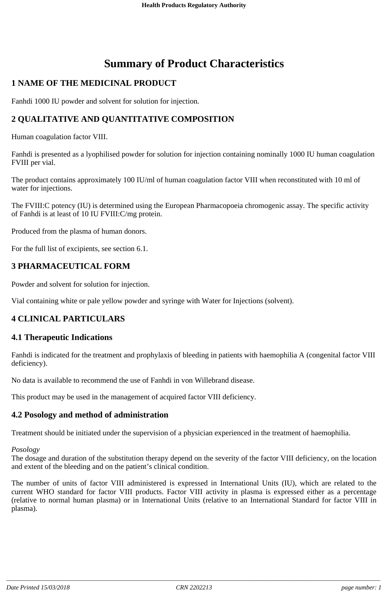# **Summary of Product Characteristics**

# **1 NAME OF THE MEDICINAL PRODUCT**

Fanhdi 1000 IU powder and solvent for solution for injection.

# **2 QUALITATIVE AND QUANTITATIVE COMPOSITION**

Human coagulation factor VIII.

Fanhdi is presented as a lyophilised powder for solution for injection containing nominally 1000 IU human coagulation FVIII per vial.

The product contains approximately 100 IU/ml of human coagulation factor VIII when reconstituted with 10 ml of water for injections.

The FVIII:C potency (IU) is determined using the European Pharmacopoeia chromogenic assay. The specific activity of Fanhdi is at least of 10 IU FVIII:C/mg protein.

Produced from the plasma of human donors.

For the full list of excipients, see section 6.1.

# **3 PHARMACEUTICAL FORM**

Powder and solvent for solution for injection.

Vial containing white or pale yellow powder and syringe with Water for Injections (solvent).

# **4 CLINICAL PARTICULARS**

## **4.1 Therapeutic Indications**

Fanhdi is indicated for the treatment and prophylaxis of bleeding in patients with haemophilia A (congenital factor VIII deficiency).

No data is available to recommend the use of Fanhdi in von Willebrand disease.

This product may be used in the management of acquired factor VIII deficiency.

## **4.2 Posology and method of administration**

Treatment should be initiated under the supervision of a physician experienced in the treatment of haemophilia.

#### *Posology*

The dosage and duration of the substitution therapy depend on the severity of the factor VIII deficiency, on the location and extent of the bleeding and on the patient's clinical condition.

The number of units of factor VIII administered is expressed in International Units (IU), which are related to the current WHO standard for factor VIII products. Factor VIII activity in plasma is expressed either as a percentage (relative to normal human plasma) or in International Units (relative to an International Standard for factor VIII in plasma).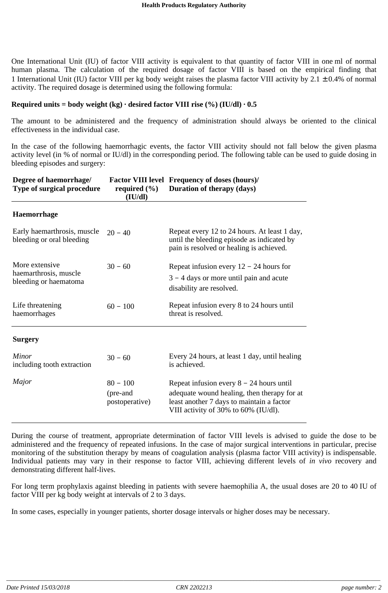One International Unit (IU) of factor VIII activity is equivalent to that quantity of factor VIII in one ml of normal human plasma. The calculation of the required dosage of factor VIII is based on the empirical finding that 1 International Unit (IU) factor VIII per kg body weight raises the plasma factor VIII activity by  $2.1 \pm 0.4\%$  of normal activity. The required dosage is determined using the following formula:

#### **Required units** = **body weight**  $(kg) \cdot$ **desired factor VIII rise**  $(\%)$  (**IU/dl**)  $\cdot$  **0.5**

The amount to be administered and the frequency of administration should always be oriented to the clinical effectiveness in the individual case.

In the case of the following haemorrhagic events, the factor VIII activity should not fall below the given plasma activity level (in % of normal or IU/dl) in the corresponding period. The following table can be used to guide dosing in bleeding episodes and surgery:

| Degree of haemorrhage/<br>Type of surgical procedure             | required $(\% )$<br>(IU/dl)              | <b>Factor VIII level Frequency of doses (hours)/</b><br>Duration of therapy (days)                                                                                             |  |
|------------------------------------------------------------------|------------------------------------------|--------------------------------------------------------------------------------------------------------------------------------------------------------------------------------|--|
| <b>Haemorrhage</b>                                               |                                          |                                                                                                                                                                                |  |
| Early haemarthrosis, muscle<br>bleeding or oral bleeding         | $20 - 40$                                | Repeat every 12 to 24 hours. At least 1 day,<br>until the bleeding episode as indicated by<br>pain is resolved or healing is achieved.                                         |  |
| More extensive<br>haemarthrosis, muscle<br>bleeding or haematoma | $30 - 60$                                | Repeat infusion every $12 - 24$ hours for<br>$3 - 4$ days or more until pain and acute<br>disability are resolved.                                                             |  |
| Life threatening<br>haemorrhages                                 | $60 - 100$                               | Repeat infusion every 8 to 24 hours until<br>threat is resolved.                                                                                                               |  |
| <b>Surgery</b>                                                   |                                          |                                                                                                                                                                                |  |
| <b>Minor</b><br>including tooth extraction                       | $30 - 60$                                | Every 24 hours, at least 1 day, until healing<br>is achieved.                                                                                                                  |  |
| Major                                                            | $80 - 100$<br>(pre-and<br>postoperative) | Repeat infusion every $8 - 24$ hours until<br>adequate wound healing, then therapy for at<br>least another 7 days to maintain a factor<br>VIII activity of 30% to 60% (IU/dl). |  |

During the course of treatment, appropriate determination of factor VIII levels is advised to guide the dose to be administered and the frequency of repeated infusions. In the case of major surgical interventions in particular, precise monitoring of the substitution therapy by means of coagulation analysis (plasma factor VIII activity) is indispensable. Individual patients may vary in their response to factor VIII, achieving different levels of *in vivo* recovery and demonstrating different half-lives.

For long term prophylaxis against bleeding in patients with severe haemophilia A, the usual doses are 20 to 40 IU of factor VIII per kg body weight at intervals of 2 to 3 days.

In some cases, especially in younger patients, shorter dosage intervals or higher doses may be necessary.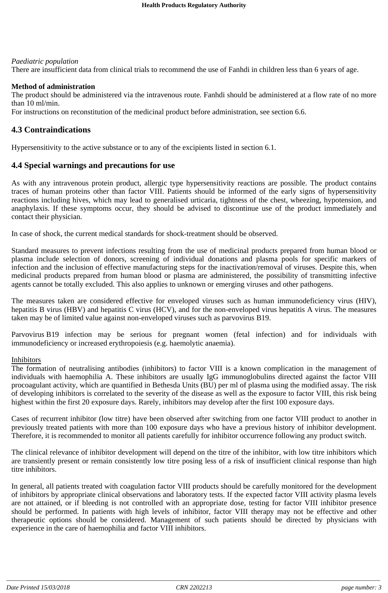#### *Paediatric population*

There are insufficient data from clinical trials to recommend the use of Fanhdi in children less than 6 years of age.

#### **Method of administration**

The product should be administered via the intravenous route. Fanhdi should be administered at a flow rate of no more than 10 ml/min.

For instructions on reconstitution of the medicinal product before administration, see section 6.6.

# **4.3 Contraindications**

Hypersensitivity to the active substance or to any of the excipients listed in section 6.1.

#### **4.4 Special warnings and precautions for use**

As with any intravenous protein product, allergic type hypersensitivity reactions are possible. The product contains traces of human proteins other than factor VIII. Patients should be informed of the early signs of hypersensitivity reactions including hives, which may lead to generalised urticaria, tightness of the chest, wheezing, hypotension, and anaphylaxis. If these symptoms occur, they should be advised to discontinue use of the product immediately and contact their physician.

In case of shock, the current medical standards for shock-treatment should be observed.

Standard measures to prevent infections resulting from the use of medicinal products prepared from human blood or plasma include selection of donors, screening of individual donations and plasma pools for specific markers of infection and the inclusion of effective manufacturing steps for the inactivation/removal of viruses. Despite this, when medicinal products prepared from human blood or plasma are administered, the possibility of transmitting infective agents cannot be totally excluded. This also applies to unknown or emerging viruses and other pathogens.

The measures taken are considered effective for enveloped viruses such as human immunodeficiency virus (HIV), hepatitis B virus (HBV) and hepatitis C virus (HCV), and for the non-enveloped virus hepatitis A virus. The measures taken may be of limited value against non-enveloped viruses such as parvovirus B19.

Parvovirus B19 infection may be serious for pregnant women (fetal infection) and for individuals with immunodeficiency or increased erythropoiesis (e.g. haemolytic anaemia).

#### Inhibitors

The formation of neutralising antibodies (inhibitors) to factor VIII is a known complication in the management of individuals with haemophilia A. These inhibitors are usually IgG immunoglobulins directed against the factor VIII procoagulant activity, which are quantified in Bethesda Units (BU) per ml of plasma using the modified assay. The risk of developing inhibitors is correlated to the severity of the disease as well as the exposure to factor VIII, this risk being highest within the first 20 exposure days. Rarely, inhibitors may develop after the first 100 exposure days.

Cases of recurrent inhibitor (low titre) have been observed after switching from one factor VIII product to another in previously treated patients with more than 100 exposure days who have a previous history of inhibitor development. Therefore, it is recommended to monitor all patients carefully for inhibitor occurrence following any product switch.

The clinical relevance of inhibitor development will depend on the titre of the inhibitor, with low titre inhibitors which are transiently present or remain consistently low titre posing less of a risk of insufficient clinical response than high titre inhibitors.

In general, all patients treated with coagulation factor VIII products should be carefully monitored for the development of inhibitors by appropriate clinical observations and laboratory tests. If the expected factor VIII activity plasma levels are not attained, or if bleeding is not controlled with an appropriate dose, testing for factor VIII inhibitor presence should be performed. In patients with high levels of inhibitor, factor VIII therapy may not be effective and other therapeutic options should be considered. Management of such patients should be directed by physicians with experience in the care of haemophilia and factor VIII inhibitors.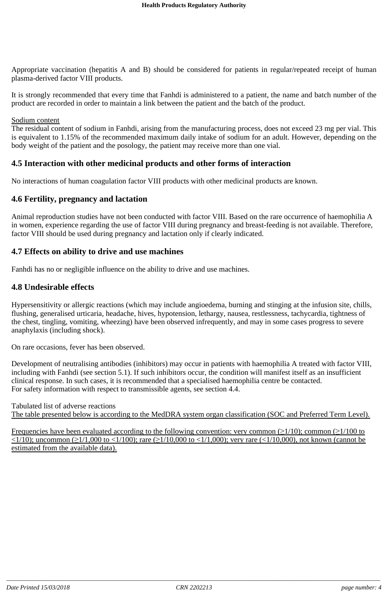Appropriate vaccination (hepatitis A and B) should be considered for patients in regular/repeated receipt of human plasma-derived factor VIII products.

It is strongly recommended that every time that Fanhdi is administered to a patient, the name and batch number of the product are recorded in order to maintain a link between the patient and the batch of the product.

#### Sodium content

The residual content of sodium in Fanhdi, arising from the manufacturing process, does not exceed 23 mg per vial. This is equivalent to 1.15% of the recommended maximum daily intake of sodium for an adult. However, depending on the body weight of the patient and the posology, the patient may receive more than one vial.

#### **4.5 Interaction with other medicinal products and other forms of interaction**

No interactions of human coagulation factor VIII products with other medicinal products are known.

#### **4.6 Fertility, pregnancy and lactation**

Animal reproduction studies have not been conducted with factor VIII. Based on the rare occurrence of haemophilia A in women, experience regarding the use of factor VIII during pregnancy and breast-feeding is not available. Therefore, factor VIII should be used during pregnancy and lactation only if clearly indicated.

#### **4.7 Effects on ability to drive and use machines**

Fanhdi has no or negligible influence on the ability to drive and use machines.

#### **4.8 Undesirable effects**

Hypersensitivity or allergic reactions (which may include angioedema, burning and stinging at the infusion site, chills, flushing, generalised urticaria, headache, hives, hypotension, lethargy, nausea, restlessness, tachycardia, tightness of the chest, tingling, vomiting, wheezing) have been observed infrequently, and may in some cases progress to severe anaphylaxis (including shock).

On rare occasions, fever has been observed.

Development of neutralising antibodies (inhibitors) may occur in patients with haemophilia A treated with factor VIII, including with Fanhdi (see section 5.1). If such inhibitors occur, the condition will manifest itself as an insufficient clinical response. In such cases, it is recommended that a specialised haemophilia centre be contacted. For safety information with respect to transmissible agents, see section 4.4.

Tabulated list of adverse reactions The table presented below is according to the MedDRA system organ classification (SOC and Preferred Term Level).

Frequencies have been evaluated according to the following convention: very common  $(\geq 1/10)$ ; common  $(\geq 1/100$  to  $\langle 1/10 \rangle$ ; uncommon ( $\geq 1/1,000$  to  $\langle 1/100 \rangle$ ; rare ( $\geq 1/10,000$ ); very rare ( $\langle 1/10,000 \rangle$ , not known (cannot be estimated from the available data).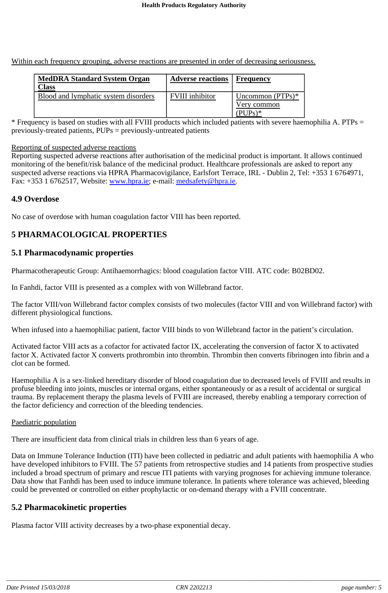Within each frequency grouping, adverse reactions are presented in order of decreasing seriousness.

| <b>MedDRA Standard System Organ</b><br>Class | <b>Adverse reactions</b> | Frequency                                               |
|----------------------------------------------|--------------------------|---------------------------------------------------------|
| Blood and lymphatic system disorders         | <b>FVIII</b> inhibitor   | Uncommon $(PTPs)*$<br>Very common<br>$\mu_{\text{UPs}}$ |

\* Frequency is based on studies with all FVIII products which included patients with severe haemophilia A. PTPs = previously-treated patients, PUPs = previously-untreated patients

#### Reporting of suspected adverse reactions

Reporting suspected adverse reactions after authorisation of the medicinal product is important. It allows continued monitoring of the benefit/risk balance of the medicinal product. Healthcare professionals are asked to report any suspected adverse reactions via HPRA Pharmacovigilance, Earlsfort Terrace, IRL - Dublin 2, Tel: +353 1 6764971, Fax: +353 1 6762517, Website: www.hpra.ie; e-mail: medsafety@hpra.ie.

## **4.9 Overdose**

No case of overdose with human coagulation factor VIII has been reported.

# **5 PHARMACOLOGICAL PROPERTIES**

## **5.1 Pharmacodynamic properties**

Pharmacotherapeutic Group: Antihaemorrhagics: blood coagulation factor VIII. ATC code: B02BD02.

In Fanhdi, factor VIII is presented as a complex with von Willebrand factor.

The factor VIII/von Willebrand factor complex consists of two molecules (factor VIII and von Willebrand factor) with different physiological functions.

When infused into a haemophiliac patient, factor VIII binds to von Willebrand factor in the patient's circulation.

Activated factor VIII acts as a cofactor for activated factor IX, accelerating the conversion of factor X to activated factor X. Activated factor X converts prothrombin into thrombin. Thrombin then converts fibrinogen into fibrin and a clot can be formed.

Haemophilia A is a sex-linked hereditary disorder of blood coagulation due to decreased levels of FVIII and results in profuse bleeding into joints, muscles or internal organs, either spontaneously or as a result of accidental or surgical trauma. By replacement therapy the plasma levels of FVIII are increased, thereby enabling a temporary correction of the factor deficiency and correction of the bleeding tendencies.

#### Paediatric population

There are insufficient data from clinical trials in children less than 6 years of age.

Data on Immune Tolerance Induction (ITI) have been collected in pediatric and adult patients with haemophilia A who have developed inhibitors to FVIII. The 57 patients from retrospective studies and 14 patients from prospective studies included a broad spectrum of primary and rescue ITI patients with varying prognoses for achieving immune tolerance. Data show that Fanhdi has been used to induce immune tolerance. In patients where tolerance was achieved, bleeding could be prevented or controlled on either prophylactic or on-demand therapy with a FVIII concentrate.

## **5.2 Pharmacokinetic properties**

Plasma factor VIII activity decreases by a two-phase exponential decay.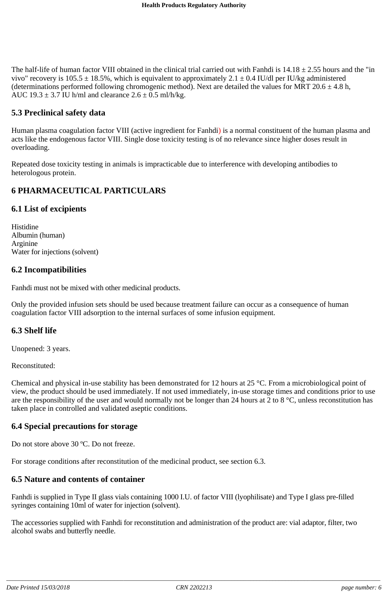The half-life of human factor VIII obtained in the clinical trial carried out with Fanhdi is  $14.18 \pm 2.55$  hours and the "in vivo" recovery is  $105.5 \pm 18.5$ %, which is equivalent to approximately 2.1  $\pm$  0.4 IU/dl per IU/kg administered (determinations performed following chromogenic method). Next are detailed the values for MRT 20.6  $\pm$  4.8 h, AUC  $19.3 \pm 3.7$  IU h/ml and clearance  $2.6 \pm 0.5$  ml/h/kg.

# **5.3 Preclinical safety data**

Human plasma coagulation factor VIII (active ingredient for Fanhdi) is a normal constituent of the human plasma and acts like the endogenous factor VIII. Single dose toxicity testing is of no relevance since higher doses result in overloading.

Repeated dose toxicity testing in animals is impracticable due to interference with developing antibodies to heterologous protein.

# **6 PHARMACEUTICAL PARTICULARS**

#### **6.1 List of excipients**

Histidine Albumin (human) Arginine Water for injections (solvent)

## **6.2 Incompatibilities**

Fanhdi must not be mixed with other medicinal products.

Only the provided infusion sets should be used because treatment failure can occur as a consequence of human coagulation factor VIII adsorption to the internal surfaces of some infusion equipment.

## **6.3 Shelf life**

Unopened: 3 years.

Reconstituted:

Chemical and physical in-use stability has been demonstrated for 12 hours at 25 °C. From a microbiological point of view, the product should be used immediately. If not used immediately, in-use storage times and conditions prior to use are the responsibility of the user and would normally not be longer than 24 hours at 2 to 8  $\degree$ C, unless reconstitution has taken place in controlled and validated aseptic conditions.

## **6.4 Special precautions for storage**

Do not store above 30 ºC. Do not freeze.

For storage conditions after reconstitution of the medicinal product, see section 6.3.

## **6.5 Nature and contents of container**

Fanhdi is supplied in Type II glass vials containing 1000 I.U. of factor VIII (lyophilisate) and Type I glass pre-filled syringes containing 10ml of water for injection (solvent).

The accessories supplied with Fanhdi for reconstitution and administration of the product are: vial adaptor, filter, two alcohol swabs and butterfly needle.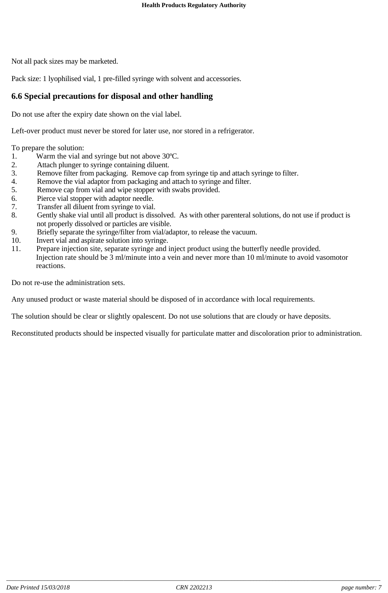Not all pack sizes may be marketed.

Pack size: 1 lyophilised vial, 1 pre-filled syringe with solvent and accessories.

# **6.6 Special precautions for disposal and other handling**

Do not use after the expiry date shown on the vial label.

Left-over product must never be stored for later use, nor stored in a refrigerator.

To prepare the solution:

- 1. Warm the vial and syringe but not above 30ºC.
- 2. Attach plunger to syringe containing diluent.
- 3. Remove filter from packaging. Remove cap from syringe tip and attach syringe to filter.
- 4. Remove the vial adaptor from packaging and attach to syringe and filter.
- 5. Remove cap from vial and wipe stopper with swabs provided.
- 6. Pierce vial stopper with adaptor needle.
- 7. Transfer all diluent from syringe to vial.
- 8. Gently shake vial until all product is dissolved. As with other parenteral solutions, do not use if product is not properly dissolved or particles are visible.
- 9. Briefly separate the syringe/filter from vial/adaptor, to release the vacuum.
- 10. Invert vial and aspirate solution into syringe.
- 11. Prepare injection site, separate syringe and inject product using the butterfly needle provided.
- Injection rate should be 3 ml/minute into a vein and never more than 10 ml/minute to avoid vasomotor reactions.

Do not re-use the administration sets.

Any unused product or waste material should be disposed of in accordance with local requirements.

The solution should be clear or slightly opalescent. Do not use solutions that are cloudy or have deposits.

Reconstituted products should be inspected visually for particulate matter and discoloration prior to administration.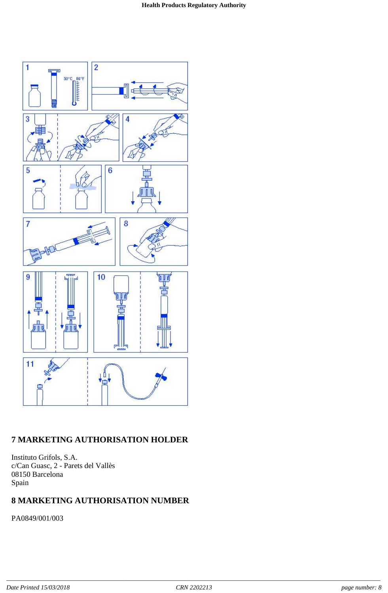

# **7 MARKETING AUTHORISATION HOLDER**

Instituto Grifols, S.A. c/Can Guasc, 2 - Parets del Vallès 08150 Barcelona Spain

# **8 MARKETING AUTHORISATION NUMBER**

PA0849/001/003